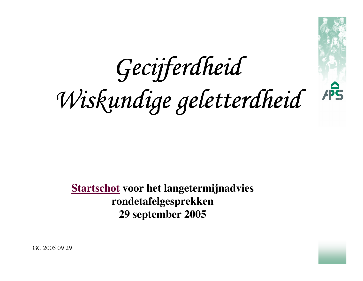GecijferdheidWiskundige geletterdheid



**Startschot voor het langetermijnadviesrondetafelgesprekken 29 september 2005**



GC 2005 09 29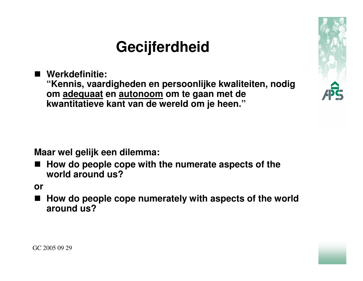## **Gecijferdheid**

**Werkdefinitie:** 

**"Kennis, vaardigheden en persoonlijke kwaliteiten, nodig om adequaat en autonoom om te gaan met de kwantitatieve kant van de wereld om je heen."**

**Maar wel gelijk een dilemma:**

■ How do people cope with the numerate aspects of the<br>
world around us<sup>2</sup> **world around us?**

**or**

n **How do people cope numerately with aspects of the world around us?**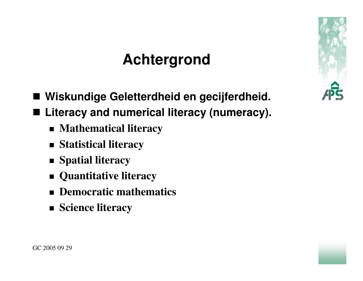# **Achtergrond**

- **Wiskundige Geletterdheid en gecijferdheid.** ■ Literacy and numerical literacy (numeracy).
	- **Mathematical literacy**
	- **Statistical literacy**
	- **Spatial literacy**
	- **Quantitative literacy**
	- **Democratic mathematics**
	- **Science literacy**

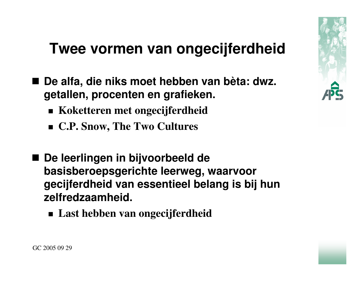

### **Twee vormen van ongecijferdheid**

- De alfa, die niks moet hebben van bèta: dwz. **getallen, procenten en grafieken.**
	- **Koketteren met ongecijferdheid**
	- **C.P. Snow, The Two Cultures**
- **De leerlingen in bijvoorbeeld de basisberoepsgerichte leerweg, waarvoor gecijferdheid van essentieel belang is bij hun zelfredzaamheid.**
	- **Last hebben van ongecijferdheid**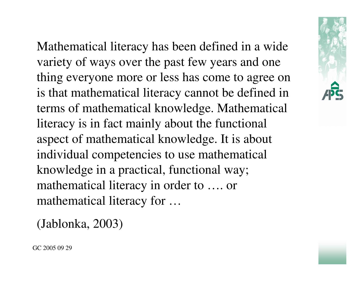Mathematical literacy has been defined in a widevariety of ways over the past few years and one thing everyone more or less has come to agree on is that mathematical literacy cannot be defined in terms of mathematical knowledge. Mathematicalliteracy is in fact mainly about the functionalaspect of mathematical knowledge. It is aboutindividual competencies to use mathematicalknowledge in a practical, functional way; mathematical literacy in order to …. ormathematical literacy for …

(Jablonka, 2003)